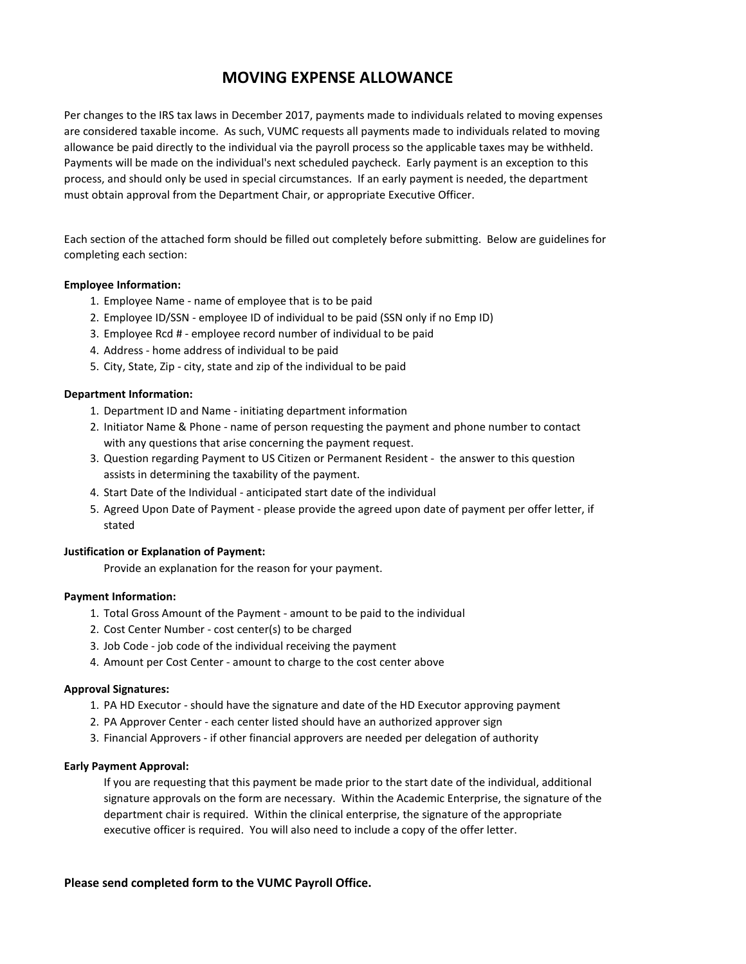# **MOVING EXPENSE ALLOWANCE**

Per changes to the IRS tax laws in December 2017, payments made to individuals related to moving expenses are considered taxable income. As such, VUMC requests all payments made to individuals related to moving allowance be paid directly to the individual via the payroll process so the applicable taxes may be withheld. Payments will be made on the individual's next scheduled paycheck. Early payment is an exception to this process, and should only be used in special circumstances. If an early payment is needed, the department must obtain approval from the Department Chair, or appropriate Executive Officer.

Each section of the attached form should be filled out completely before submitting. Below are guidelines for completing each section:

## **Employee Information:**

- 1. Employee Name name of employee that is to be paid
- 2. Employee ID/SSN employee ID of individual to be paid (SSN only if no Emp ID)
- 3. Employee Rcd # employee record number of individual to be paid
- 4. Address home address of individual to be paid
- 5. City, State, Zip city, state and zip of the individual to be paid

### **Department Information:**

- 1. Department ID and Name initiating department information
- 2. Initiator Name & Phone name of person requesting the payment and phone number to contact with any questions that arise concerning the payment request.
- 3. Question regarding Payment to US Citizen or Permanent Resident the answer to this question assists in determining the taxability of the payment.
- 4. Start Date of the Individual anticipated start date of the individual
- 5. Agreed Upon Date of Payment please provide the agreed upon date of payment per offer letter, if stated

## **Justification or Explanation of Payment:**

Provide an explanation for the reason for your payment.

### **Payment Information:**

- 1. Total Gross Amount of the Payment amount to be paid to the individual
- 2. Cost Center Number cost center(s) to be charged
- 3. Job Code job code of the individual receiving the payment
- 4. Amount per Cost Center amount to charge to the cost center above

#### **Approval Signatures:**

- 1. PA HD Executor should have the signature and date of the HD Executor approving payment
- 2. PA Approver Center each center listed should have an authorized approver sign
- 3. Financial Approvers if other financial approvers are needed per delegation of authority

#### **Early Payment Approval:**

If you are requesting that this payment be made prior to the start date of the individual, additional signature approvals on the form are necessary. Within the Academic Enterprise, the signature of the department chair is required. Within the clinical enterprise, the signature of the appropriate executive officer is required. You will also need to include a copy of the offer letter.

### **Please send completed form to the VUMC Payroll Office.**